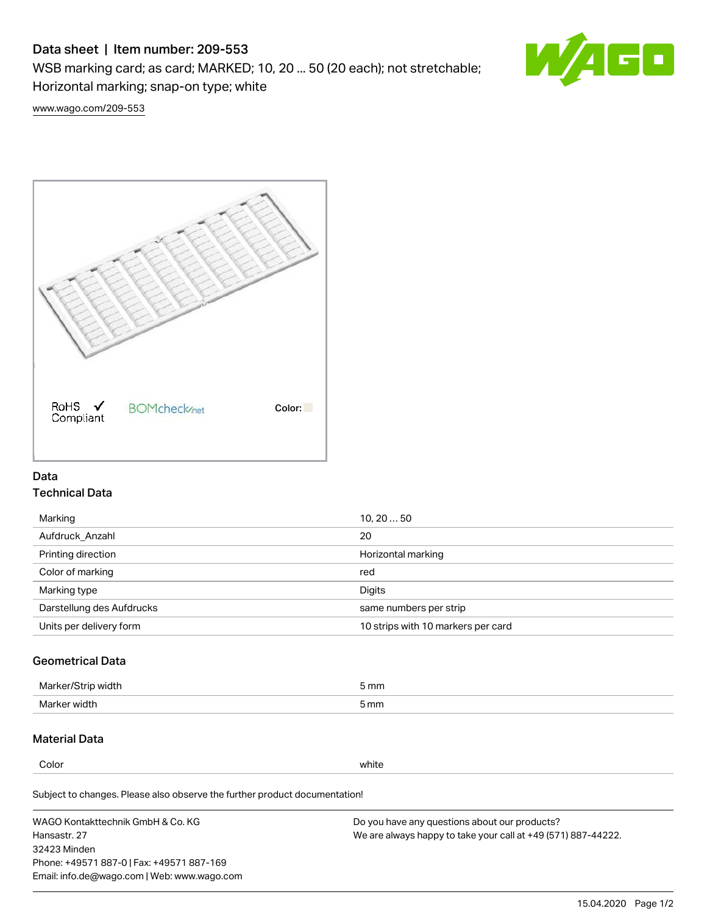# Data sheet | Item number: 209-553

WSB marking card; as card; MARKED; 10, 20 ... 50 (20 each); not stretchable; Horizontal marking; snap-on type; white



[www.wago.com/209-553](http://www.wago.com/209-553)



## Data Technical Data

| 10, 2050                           |
|------------------------------------|
| 20                                 |
| Horizontal marking                 |
| red                                |
| Digits                             |
| same numbers per strip             |
| 10 strips with 10 markers per card |
|                                    |

## Geometrical Data

| طلقاء ئ<br><b>Marker</b><br>widtr | ັກmm |
|-----------------------------------|------|
| Marker width                      | 5 mm |

## Material Data

Color white

Subject to changes. Please also observe the further product documentation!

WAGO Kontakttechnik GmbH & Co. KG Hansastr. 27 32423 Minden Phone: +49571 887-0 | Fax: +49571 887-169 Email: info.de@wago.com | Web: www.wago.com Do you have any questions about our products? We are always happy to take your call at +49 (571) 887-44222.